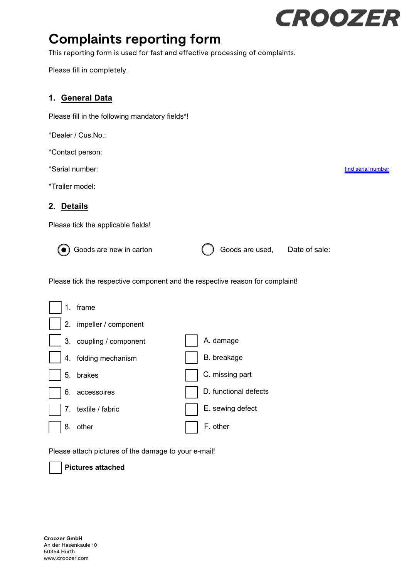# **CROOZER**

[find serial number](https://assets.ctfassets.net/5bcj6nwxssdi/5aK1Xp2IkbEKdKjVwRSMwl/ac33fcf9021955289207bd927b0c133b/Croozer_Serial_number_version-09-2021.pdf)

# **Complaints reporting form**

This reporting form is used for fast and effective processing of complaints.

Please fill in completely.

## **1. General Data**

Please fill in the following mandatory fields\*!

\*Dealer / Cus.No.:

\*Contact person:

\*Serial number:

\*Trailer model:

#### **2. Details**

Please tick the applicable fields!

Goods are new in carton  $\qquad \qquad \qquad \qquad \qquad \qquad \qquad \qquad \qquad \qquad \qquad \text{Goods are used,}\qquad \text{Date of sale:}$ 

Please tick the respective component and the respective reason for complaint!

| 1. | frame                   |                       |
|----|-------------------------|-----------------------|
|    | 2. impeller / component |                       |
|    | 3. coupling / component | A. damage             |
|    | 4. folding mechanism    | B. breakage           |
|    | 5. brakes               | C. missing part       |
| 6. | accessoires             | D. functional defects |
|    | 7. textile / fabric     | E. sewing defect      |
| 8. | other                   | F. other              |

Please attach pictures of the damage to your e-mail!

**Pictures attached**